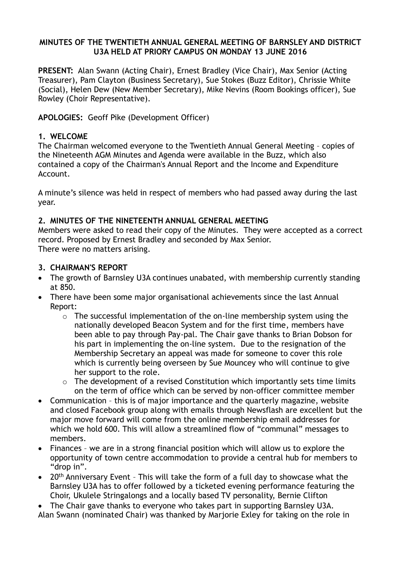#### **MINUTES OF THE TWENTIETH ANNUAL GENERAL MEETING OF BARNSLEY AND DISTRICT U3A HELD AT PRIORY CAMPUS ON MONDAY 13 JUNE 2016**

**PRESENT:** Alan Swann (Acting Chair), Ernest Bradley (Vice Chair), Max Senior (Acting Treasurer), Pam Clayton (Business Secretary), Sue Stokes (Buzz Editor), Chrissie White (Social), Helen Dew (New Member Secretary), Mike Nevins (Room Bookings officer), Sue Rowley (Choir Representative).

**APOLOGIES:** Geoff Pike (Development Officer)

#### **1. WELCOME**

The Chairman welcomed everyone to the Twentieth Annual General Meeting – copies of the Nineteenth AGM Minutes and Agenda were available in the Buzz, which also contained a copy of the Chairman's Annual Report and the Income and Expenditure Account.

A minute's silence was held in respect of members who had passed away during the last year.

#### **2. MINUTES OF THE NINETEENTH ANNUAL GENERAL MEETING**

Members were asked to read their copy of the Minutes. They were accepted as a correct record. Proposed by Ernest Bradley and seconded by Max Senior. There were no matters arising.

#### **3. CHAIRMAN'S REPORT**

- The growth of Barnsley U3A continues unabated, with membership currently standing at 850.
- There have been some major organisational achievements since the last Annual Report:
	- $\circ$  The successful implementation of the on-line membership system using the nationally developed Beacon System and for the first time, members have been able to pay through Pay-pal. The Chair gave thanks to Brian Dobson for his part in implementing the on-line system. Due to the resignation of the Membership Secretary an appeal was made for someone to cover this role which is currently being overseen by Sue Mouncey who will continue to give her support to the role.
	- $\circ$  The development of a revised Constitution which importantly sets time limits on the term of office which can be served by non-officer committee member
- Communication this is of major importance and the quarterly magazine, website and closed Facebook group along with emails through Newsflash are excellent but the major move forward will come from the online membership email addresses for which we hold 600. This will allow a streamlined flow of "communal" messages to members.
- Finances we are in a strong financial position which will allow us to explore the opportunity of town centre accommodation to provide a central hub for members to "drop in".
- 20<sup>th</sup> Anniversary Event This will take the form of a full day to showcase what the Barnsley U3A has to offer followed by a ticketed evening performance featuring the Choir, Ukulele Stringalongs and a locally based TV personality, Bernie Clifton

• The Chair gave thanks to everyone who takes part in supporting Barnsley U3A. Alan Swann (nominated Chair) was thanked by Marjorie Exley for taking on the role in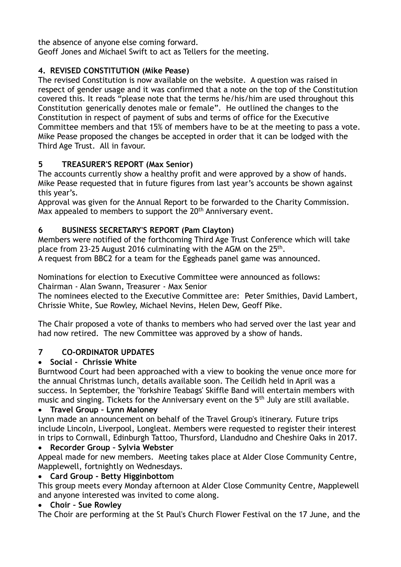the absence of anyone else coming forward. Geoff Jones and Michael Swift to act as Tellers for the meeting.

# **4. REVISED CONSTITUTION (Mike Pease)**

The revised Constitution is now available on the website. A question was raised in respect of gender usage and it was confirmed that a note on the top of the Constitution covered this. It reads "please note that the terms he/his/him are used throughout this Constitution generically denotes male or female". He outlined the changes to the Constitution in respect of payment of subs and terms of office for the Executive Committee members and that 15% of members have to be at the meeting to pass a vote. Mike Pease proposed the changes be accepted in order that it can be lodged with the Third Age Trust. All in favour.

# **5 TREASURER'S REPORT (Max Senior)**

The accounts currently show a healthy profit and were approved by a show of hands. Mike Pease requested that in future figures from last year's accounts be shown against this year's.

Approval was given for the Annual Report to be forwarded to the Charity Commission. Max appealed to members to support the 20<sup>th</sup> Anniversary event.

# **6 BUSINESS SECRETARY'S REPORT (Pam Clayton)**

Members were notified of the forthcoming Third Age Trust Conference which will take place from 23-25 August 2016 culminating with the AGM on the 25<sup>th</sup>.

A request from BBC2 for a team for the Eggheads panel game was announced.

Nominations for election to Executive Committee were announced as follows: Chairman - Alan Swann, Treasurer - Max Senior

The nominees elected to the Executive Committee are: Peter Smithies, David Lambert, Chrissie White, Sue Rowley, Michael Nevins, Helen Dew, Geoff Pike.

The Chair proposed a vote of thanks to members who had served over the last year and had now retired. The new Committee was approved by a show of hands.

## **7 CO-ORDINATOR UPDATES**

## • **Social - Chrissie White**

Burntwood Court had been approached with a view to booking the venue once more for the annual Christmas lunch, details available soon. The Ceilidh held in April was a success. In September, the 'Yorkshire Teabags' Skiffle Band will entertain members with music and singing. Tickets for the Anniversary event on the 5<sup>th</sup> July are still available.

## • **Travel Group – Lynn Maloney**

Lynn made an announcement on behalf of the Travel Group's itinerary. Future trips include Lincoln, Liverpool, Longleat. Members were requested to register their interest in trips to Cornwall, Edinburgh Tattoo, Thursford, Llandudno and Cheshire Oaks in 2017.

## • **Recorder Group – Sylvia Webster**

Appeal made for new members. Meeting takes place at Alder Close Community Centre, Mapplewell, fortnightly on Wednesdays.

## • **Card Group - Betty Higginbottom**

This group meets every Monday afternoon at Alder Close Community Centre, Mapplewell and anyone interested was invited to come along.

#### • **Choir – Sue Rowley**

The Choir are performing at the St Paul's Church Flower Festival on the 17 June, and the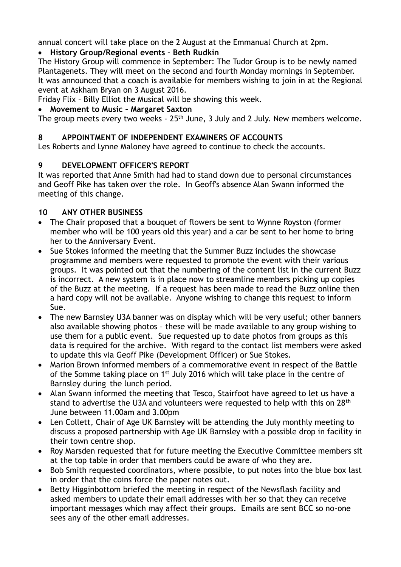annual concert will take place on the 2 August at the Emmanual Church at 2pm.

## • **History Group/Regional events – Beth Rudkin**

The History Group will commence in September: The Tudor Group is to be newly named Plantagenets. They will meet on the second and fourth Monday mornings in September. It was announced that a coach is available for members wishing to join in at the Regional event at Askham Bryan on 3 August 2016.

Friday Flix – Billy Elliot the Musical will be showing this week.

## • **Movement to Music – Margaret Saxton**

The group meets every two weeks - 25<sup>th</sup> June, 3 July and 2 July. New members welcome.

## **8 APPOINTMENT OF INDEPENDENT EXAMINERS OF ACCOUNTS**

Les Roberts and Lynne Maloney have agreed to continue to check the accounts.

## **9 DEVELOPMENT OFFICER'S REPORT**

It was reported that Anne Smith had had to stand down due to personal circumstances and Geoff Pike has taken over the role. In Geoff's absence Alan Swann informed the meeting of this change.

## **10 ANY OTHER BUSINESS**

- The Chair proposed that a bouquet of flowers be sent to Wynne Royston (former member who will be 100 years old this year) and a car be sent to her home to bring her to the Anniversary Event.
- Sue Stokes informed the meeting that the Summer Buzz includes the showcase programme and members were requested to promote the event with their various groups. It was pointed out that the numbering of the content list in the current Buzz is incorrect. A new system is in place now to streamline members picking up copies of the Buzz at the meeting. If a request has been made to read the Buzz online then a hard copy will not be available. Anyone wishing to change this request to inform Sue.
- The new Barnsley U3A banner was on display which will be very useful; other banners also available showing photos – these will be made available to any group wishing to use them for a public event. Sue requested up to date photos from groups as this data is required for the archive. With regard to the contact list members were asked to update this via Geoff Pike (Development Officer) or Sue Stokes.
- Marion Brown informed members of a commemorative event in respect of the Battle of the Somme taking place on 1<sup>st</sup> July 2016 which will take place in the centre of Barnsley during the lunch period.
- Alan Swann informed the meeting that Tesco, Stairfoot have agreed to let us have a stand to advertise the U3A and volunteers were requested to help with this on 28th June between 11.00am and 3.00pm
- Len Collett, Chair of Age UK Barnsley will be attending the July monthly meeting to discuss a proposed partnership with Age UK Barnsley with a possible drop in facility in their town centre shop.
- Roy Marsden requested that for future meeting the Executive Committee members sit at the top table in order that members could be aware of who they are.
- Bob Smith requested coordinators, where possible, to put notes into the blue box last in order that the coins force the paper notes out.
- Betty Higginbottom briefed the meeting in respect of the Newsflash facility and asked members to update their email addresses with her so that they can receive important messages which may affect their groups. Emails are sent BCC so no-one sees any of the other email addresses.